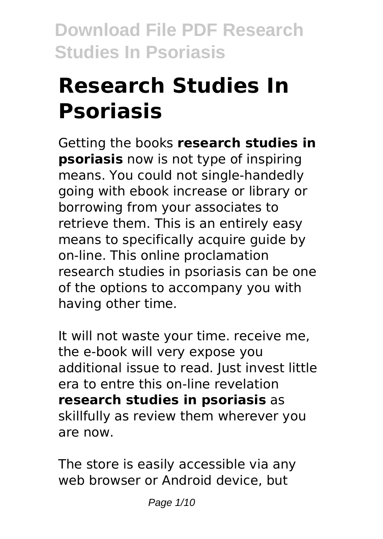# **Research Studies In Psoriasis**

Getting the books **research studies in psoriasis** now is not type of inspiring means. You could not single-handedly going with ebook increase or library or borrowing from your associates to retrieve them. This is an entirely easy means to specifically acquire guide by on-line. This online proclamation research studies in psoriasis can be one of the options to accompany you with having other time.

It will not waste your time. receive me, the e-book will very expose you additional issue to read. Just invest little era to entre this on-line revelation **research studies in psoriasis** as skillfully as review them wherever you are now.

The store is easily accessible via any web browser or Android device, but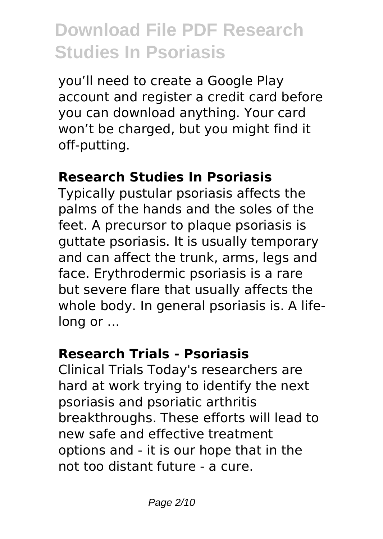you'll need to create a Google Play account and register a credit card before you can download anything. Your card won't be charged, but you might find it off-putting.

#### **Research Studies In Psoriasis**

Typically pustular psoriasis affects the palms of the hands and the soles of the feet. A precursor to plaque psoriasis is guttate psoriasis. It is usually temporary and can affect the trunk, arms, legs and face. Erythrodermic psoriasis is a rare but severe flare that usually affects the whole body. In general psoriasis is. A lifelong or ...

### **Research Trials - Psoriasis**

Clinical Trials Today's researchers are hard at work trying to identify the next psoriasis and psoriatic arthritis breakthroughs. These efforts will lead to new safe and effective treatment options and - it is our hope that in the not too distant future - a cure.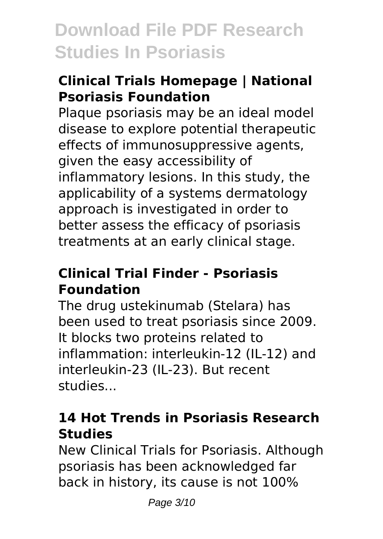### **Clinical Trials Homepage | National Psoriasis Foundation**

Plaque psoriasis may be an ideal model disease to explore potential therapeutic effects of immunosuppressive agents, given the easy accessibility of inflammatory lesions. In this study, the applicability of a systems dermatology approach is investigated in order to better assess the efficacy of psoriasis treatments at an early clinical stage.

#### **Clinical Trial Finder - Psoriasis Foundation**

The drug ustekinumab (Stelara) has been used to treat psoriasis since 2009. It blocks two proteins related to inflammation: interleukin-12 (IL-12) and interleukin-23 (IL-23). But recent studies...

### **14 Hot Trends in Psoriasis Research Studies**

New Clinical Trials for Psoriasis. Although psoriasis has been acknowledged far back in history, its cause is not 100%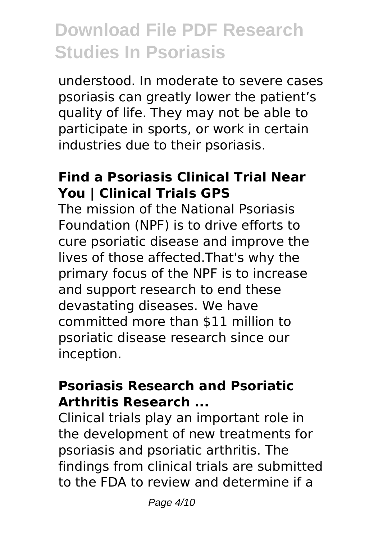understood. In moderate to severe cases psoriasis can greatly lower the patient's quality of life. They may not be able to participate in sports, or work in certain industries due to their psoriasis.

#### **Find a Psoriasis Clinical Trial Near You | Clinical Trials GPS**

The mission of the National Psoriasis Foundation (NPF) is to drive efforts to cure psoriatic disease and improve the lives of those affected.That's why the primary focus of the NPF is to increase and support research to end these devastating diseases. We have committed more than \$11 million to psoriatic disease research since our inception.

#### **Psoriasis Research and Psoriatic Arthritis Research ...**

Clinical trials play an important role in the development of new treatments for psoriasis and psoriatic arthritis. The findings from clinical trials are submitted to the FDA to review and determine if a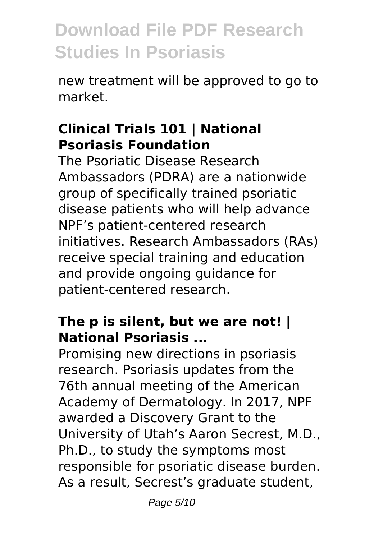new treatment will be approved to go to market.

#### **Clinical Trials 101 | National Psoriasis Foundation**

The Psoriatic Disease Research Ambassadors (PDRA) are a nationwide group of specifically trained psoriatic disease patients who will help advance NPF's patient-centered research initiatives. Research Ambassadors (RAs) receive special training and education and provide ongoing guidance for patient-centered research.

#### **The p is silent, but we are not! | National Psoriasis ...**

Promising new directions in psoriasis research. Psoriasis updates from the 76th annual meeting of the American Academy of Dermatology. In 2017, NPF awarded a Discovery Grant to the University of Utah's Aaron Secrest, M.D., Ph.D., to study the symptoms most responsible for psoriatic disease burden. As a result, Secrest's graduate student,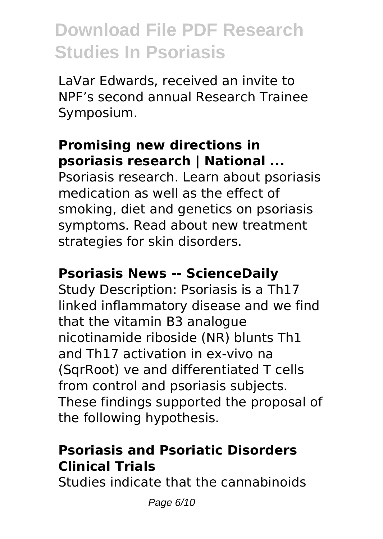LaVar Edwards, received an invite to NPF's second annual Research Trainee Symposium.

### **Promising new directions in psoriasis research | National ...**

Psoriasis research. Learn about psoriasis medication as well as the effect of smoking, diet and genetics on psoriasis symptoms. Read about new treatment strategies for skin disorders.

#### **Psoriasis News -- ScienceDaily**

Study Description: Psoriasis is a Th17 linked inflammatory disease and we find that the vitamin B3 analogue nicotinamide riboside (NR) blunts Th1 and Th17 activation in ex-vivo na (SqrRoot) ve and differentiated T cells from control and psoriasis subjects. These findings supported the proposal of the following hypothesis.

### **Psoriasis and Psoriatic Disorders Clinical Trials**

Studies indicate that the cannabinoids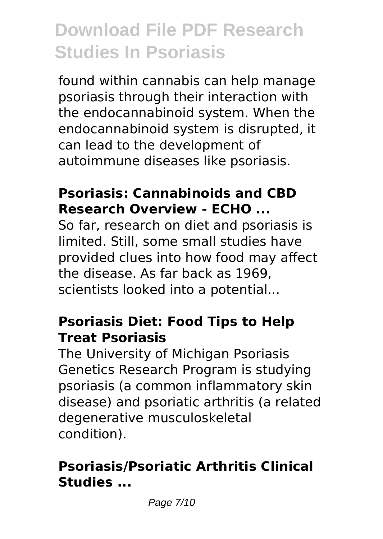found within cannabis can help manage psoriasis through their interaction with the endocannabinoid system. When the endocannabinoid system is disrupted, it can lead to the development of autoimmune diseases like psoriasis.

#### **Psoriasis: Cannabinoids and CBD Research Overview - ECHO ...**

So far, research on diet and psoriasis is limited. Still, some small studies have provided clues into how food may affect the disease. As far back as 1969, scientists looked into a potential...

#### **Psoriasis Diet: Food Tips to Help Treat Psoriasis**

The University of Michigan Psoriasis Genetics Research Program is studying psoriasis (a common inflammatory skin disease) and psoriatic arthritis (a related degenerative musculoskeletal condition).

### **Psoriasis/Psoriatic Arthritis Clinical Studies ...**

Page 7/10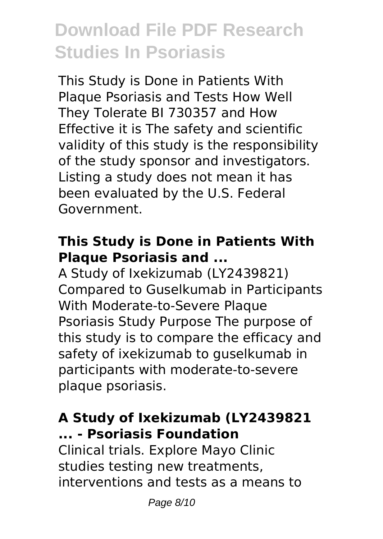This Study is Done in Patients With Plaque Psoriasis and Tests How Well They Tolerate BI 730357 and How Effective it is The safety and scientific validity of this study is the responsibility of the study sponsor and investigators. Listing a study does not mean it has been evaluated by the U.S. Federal Government.

### **This Study is Done in Patients With Plaque Psoriasis and ...**

A Study of Ixekizumab (LY2439821) Compared to Guselkumab in Participants With Moderate-to-Severe Plaque Psoriasis Study Purpose The purpose of this study is to compare the efficacy and safety of ixekizumab to guselkumab in participants with moderate-to-severe plaque psoriasis.

### **A Study of Ixekizumab (LY2439821 ... - Psoriasis Foundation**

Clinical trials. Explore Mayo Clinic studies testing new treatments, interventions and tests as a means to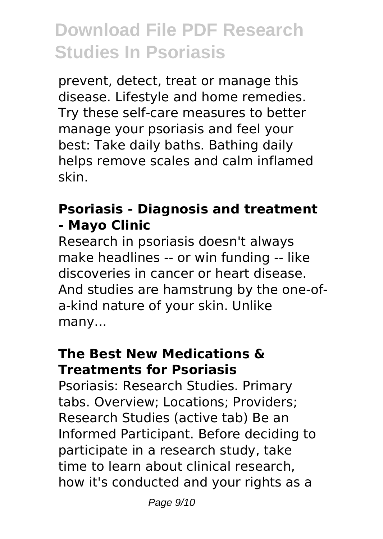prevent, detect, treat or manage this disease. Lifestyle and home remedies. Try these self-care measures to better manage your psoriasis and feel your best: Take daily baths. Bathing daily helps remove scales and calm inflamed skin.

#### **Psoriasis - Diagnosis and treatment - Mayo Clinic**

Research in psoriasis doesn't always make headlines -- or win funding -- like discoveries in cancer or heart disease. And studies are hamstrung by the one-ofa-kind nature of your skin. Unlike many...

#### **The Best New Medications & Treatments for Psoriasis**

Psoriasis: Research Studies. Primary tabs. Overview; Locations; Providers; Research Studies (active tab) Be an Informed Participant. Before deciding to participate in a research study, take time to learn about clinical research, how it's conducted and your rights as a